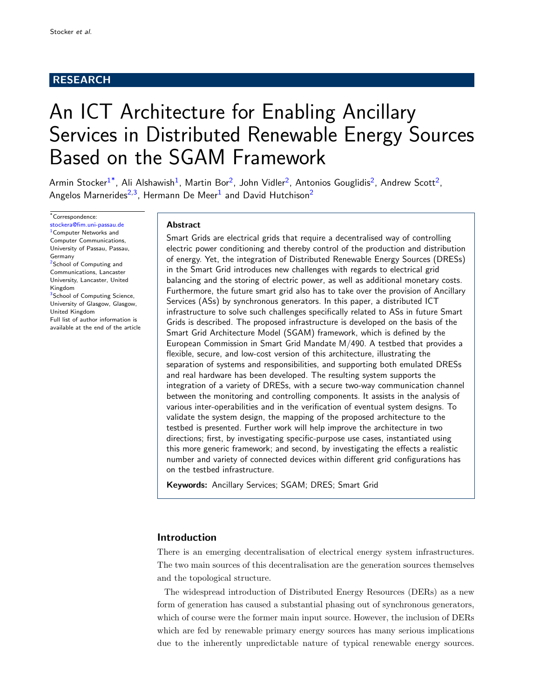# RESEARCH

# An ICT Architecture for Enabling Ancillary Services in Distributed Renewable Energy Sources Based on the SGAM Framework

Armin Stocker $^{1^*}$  $^{1^*}$  $^{1^*}$  $^{1^*}$  $^{1^*}$ , Ali Alshawish $^1$ , Martin Bor<sup>[2](#page-23-1)</sup>, John Vidler<sup>2</sup>, Antonios Gouglidis<sup>2</sup>, Andrew Scott<sup>2</sup>, Angelos Marnerides<sup>[2,](#page-23-1)[3](#page-23-2)</sup>, Hermann De Meer<sup>[1](#page-23-0)</sup> and David Hutchison<sup>[2](#page-23-1)</sup>

<span id="page-0-0"></span>\*Correspondence: [stockera@fim.uni-passau.de](mailto:stockera@fim.uni-passau.de) <sup>[1](#page-23-0)</sup> Computer Networks and Computer Communications, University of Passau, Passau, Germany <sup>[2](#page-23-1)</sup>School of Computing and Communications, Lancaster University, Lancaster, United Kingdom <sup>[3](#page-23-2)</sup>School of Computing Science, University of Glasgow, Glasgow, United Kingdom Full list of author information is available at the end of the article

## Abstract

Smart Grids are electrical grids that require a decentralised way of controlling electric power conditioning and thereby control of the production and distribution of energy. Yet, the integration of Distributed Renewable Energy Sources (DRESs) in the Smart Grid introduces new challenges with regards to electrical grid balancing and the storing of electric power, as well as additional monetary costs. Furthermore, the future smart grid also has to take over the provision of Ancillary Services (ASs) by synchronous generators. In this paper, a distributed ICT infrastructure to solve such challenges specifically related to ASs in future Smart Grids is described. The proposed infrastructure is developed on the basis of the Smart Grid Architecture Model (SGAM) framework, which is defined by the European Commission in Smart Grid Mandate M/490. A testbed that provides a flexible, secure, and low-cost version of this architecture, illustrating the separation of systems and responsibilities, and supporting both emulated DRESs and real hardware has been developed. The resulting system supports the integration of a variety of DRESs, with a secure two-way communication channel between the monitoring and controlling components. It assists in the analysis of various inter-operabilities and in the verification of eventual system designs. To validate the system design, the mapping of the proposed architecture to the testbed is presented. Further work will help improve the architecture in two directions; first, by investigating specific-purpose use cases, instantiated using this more generic framework; and second, by investigating the effects a realistic number and variety of connected devices within different grid configurations has on the testbed infrastructure.

Keywords: Ancillary Services; SGAM; DRES; Smart Grid

# <span id="page-0-1"></span>Introduction

There is an emerging decentralisation of electrical energy system infrastructures. The two main sources of this decentralisation are the generation sources themselves and the topological structure.

The widespread introduction of Distributed Energy Resources (DERs) as a new form of generation has caused a substantial phasing out of synchronous generators, which of course were the former main input source. However, the inclusion of DERs which are fed by renewable primary energy sources has many serious implications due to the inherently unpredictable nature of typical renewable energy sources.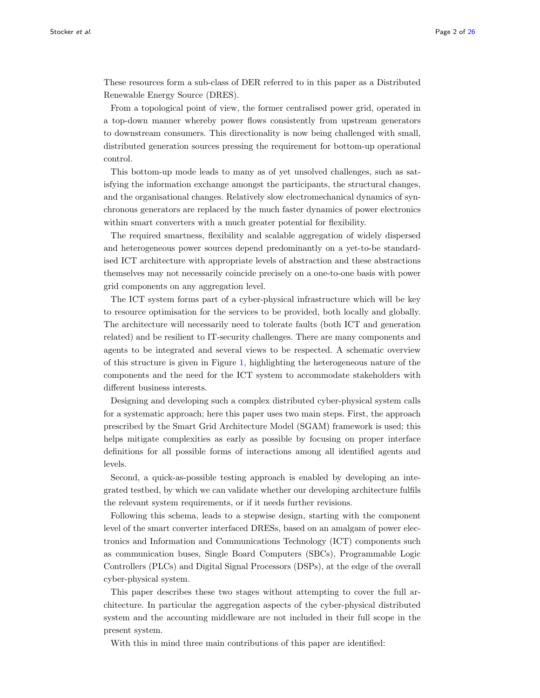These resources form a sub-class of DER referred to in this paper as a Distributed Renewable Energy Source (DRES).

From a topological point of view, the former centralised power grid, operated in a top-down manner whereby power flows consistently from upstream generators to downstream consumers. This directionality is now being challenged with small, distributed generation sources pressing the requirement for bottom-up operational control.

This bottom-up mode leads to many as of yet unsolved challenges, such as satisfying the information exchange amongst the participants, the structural changes, and the organisational changes. Relatively slow electromechanical dynamics of synchronous generators are replaced by the much faster dynamics of power electronics within smart converters with a much greater potential for flexibility.

The required smartness, flexibility and scalable aggregation of widely dispersed and heterogeneous power sources depend predominantly on a yet-to-be standardised ICT architecture with appropriate levels of abstraction and these abstractions themselves may not necessarily coincide precisely on a one-to-one basis with power grid components on any aggregation level.

The ICT system forms part of a cyber-physical infrastructure which will be key to resource optimisation for the services to be provided, both locally and globally. The architecture will necessarily need to tolerate faults (both ICT and generation related) and be resilient to IT-security challenges. There are many components and agents to be integrated and several views to be respected. A schematic overview of this structure is given in Figure [1,](#page-24-0) highlighting the heterogeneous nature of the components and the need for the ICT system to accommodate stakeholders with different business interests.

Designing and developing such a complex distributed cyber-physical system calls for a systematic approach; here this paper uses two main steps. First, the approach prescribed by the Smart Grid Architecture Model (SGAM) framework is used; this helps mitigate complexities as early as possible by focusing on proper interface definitions for all possible forms of interactions among all identified agents and levels.

Second, a quick-as-possible testing approach is enabled by developing an integrated testbed, by which we can validate whether our developing architecture fulfils the relevant system requirements, or if it needs further revisions.

Following this schema, leads to a stepwise design, starting with the component level of the smart converter interfaced DRESs, based on an amalgam of power electronics and Information and Communications Technology (ICT) components such as communication buses, Single Board Computers (SBCs), Programmable Logic Controllers (PLCs) and Digital Signal Processors (DSPs), at the edge of the overall cyber-physical system.

This paper describes these two stages without attempting to cover the full architecture. In particular the aggregation aspects of the cyber-physical distributed system and the accounting middleware are not included in their full scope in the present system.

With this in mind three main contributions of this paper are identified: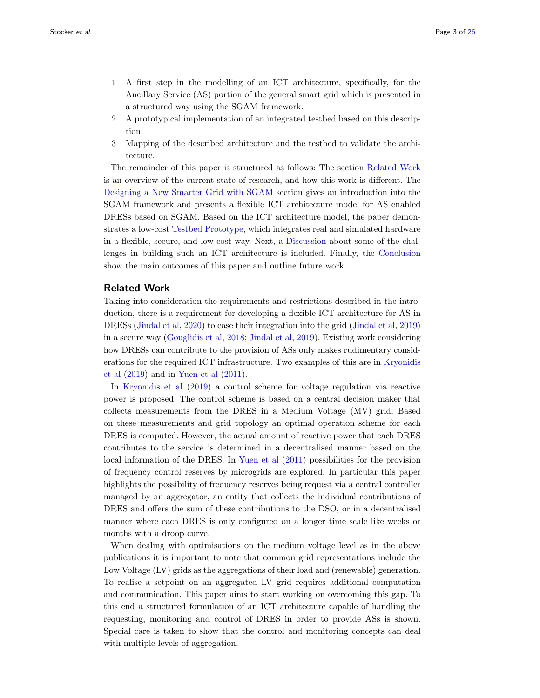- 1 A first step in the modelling of an ICT architecture, specifically, for the Ancillary Service (AS) portion of the general smart grid which is presented in a structured way using the SGAM framework.
- 2 A prototypical implementation of an integrated testbed based on this description.
- 3 Mapping of the described architecture and the testbed to validate the architecture.

The remainder of this paper is structured as follows: The section [Related Work](#page-2-0) is an overview of the current state of research, and how this work is different. The [Designing a New Smarter Grid with SGAM](#page-5-0) section gives an introduction into the SGAM framework and presents a flexible ICT architecture model for AS enabled DRESs based on SGAM. Based on the ICT architecture model, the paper demonstrates a low-cost [Testbed Prototype,](#page-12-0) which integrates real and simulated hardware in a flexible, secure, and low-cost way. Next, a [Discussion](#page-19-0) about some of the challenges in building such an ICT architecture is included. Finally, the [Conclusion](#page-21-0) show the main outcomes of this paper and outline future work.

## <span id="page-2-0"></span>Related Work

Taking into consideration the requirements and restrictions described in the introduction, there is a requirement for developing a flexible ICT architecture for AS in DRESs [\(Jindal et al,](#page-23-3) [2020\)](#page-23-3) to ease their integration into the grid [\(Jindal et al,](#page-23-4) [2019\)](#page-23-4) in a secure way [\(Gouglidis et al,](#page-23-5) [2018;](#page-23-5) [Jindal et al,](#page-23-6) [2019\)](#page-23-6). Existing work considering how DRESs can contribute to the provision of ASs only makes rudimentary considerations for the required ICT infrastructure. Two examples of this are in [Kryonidis](#page-23-7) [et al](#page-23-7) [\(2019\)](#page-23-7) and in [Yuen et al](#page-24-1) [\(2011\)](#page-24-1).

In [Kryonidis et al](#page-23-7) [\(2019\)](#page-23-7) a control scheme for voltage regulation via reactive power is proposed. The control scheme is based on a central decision maker that collects measurements from the DRES in a Medium Voltage (MV) grid. Based on these measurements and grid topology an optimal operation scheme for each DRES is computed. However, the actual amount of reactive power that each DRES contributes to the service is determined in a decentralised manner based on the local information of the DRES. In [Yuen et al](#page-24-1) [\(2011\)](#page-24-1) possibilities for the provision of frequency control reserves by microgrids are explored. In particular this paper highlights the possibility of frequency reserves being request via a central controller managed by an aggregator, an entity that collects the individual contributions of DRES and offers the sum of these contributions to the DSO, or in a decentralised manner where each DRES is only configured on a longer time scale like weeks or months with a droop curve.

When dealing with optimisations on the medium voltage level as in the above publications it is important to note that common grid representations include the Low Voltage (LV) grids as the aggregations of their load and (renewable) generation. To realise a setpoint on an aggregated LV grid requires additional computation and communication. This paper aims to start working on overcoming this gap. To this end a structured formulation of an ICT architecture capable of handling the requesting, monitoring and control of DRES in order to provide ASs is shown. Special care is taken to show that the control and monitoring concepts can deal with multiple levels of aggregation.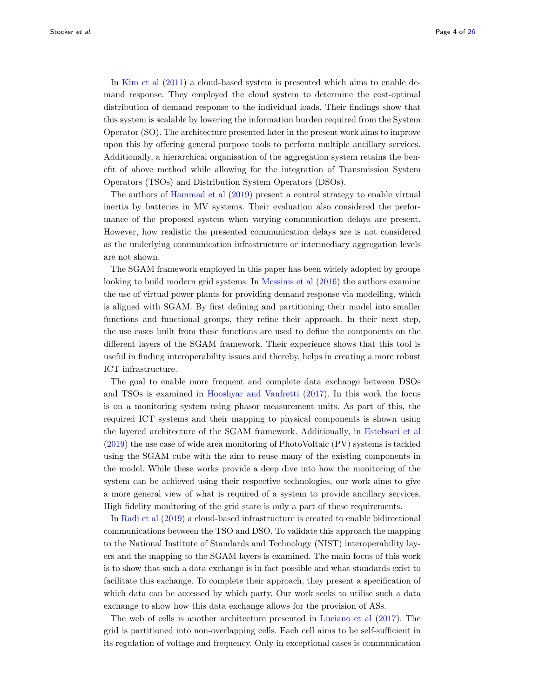In [Kim et al](#page-23-8) [\(2011\)](#page-23-8) a cloud-based system is presented which aims to enable demand response. They employed the cloud system to determine the cost-optimal distribution of demand response to the individual loads. Their findings show that this system is scalable by lowering the information burden required from the System Operator (SO). The architecture presented later in the present work aims to improve upon this by offering general purpose tools to perform multiple ancillary services. Additionally, a hierarchical organisation of the aggregation system retains the benefit of above method while allowing for the integration of Transmission System Operators (TSOs) and Distribution System Operators (DSOs).

The authors of [Hammad et al](#page-23-9) [\(2019\)](#page-23-9) present a control strategy to enable virtual inertia by batteries in MV systems. Their evaluation also considered the performance of the proposed system when varying communication delays are present. However, how realistic the presented communication delays are is not considered as the underlying communication infrastructure or intermediary aggregation levels are not shown.

The SGAM framework employed in this paper has been widely adopted by groups looking to build modern grid systems: In [Messinis et al](#page-24-2) [\(2016\)](#page-24-2) the authors examine the use of virtual power plants for providing demand response via modelling, which is aligned with SGAM. By first defining and partitioning their model into smaller functions and functional groups, they refine their approach. In their next step, the use cases built from these functions are used to define the components on the different layers of the SGAM framework. Their experience shows that this tool is useful in finding interoperability issues and thereby, helps in creating a more robust ICT infrastructure.

The goal to enable more frequent and complete data exchange between DSOs and TSOs is examined in [Hooshyar and Vanfretti](#page-23-10) [\(2017\)](#page-23-10). In this work the focus is on a monitoring system using phasor measurement units. As part of this, the required ICT systems and their mapping to physical components is shown using the layered architecture of the SGAM framework. Additionally, in [Estebsari et al](#page-23-11) [\(2019\)](#page-23-11) the use case of wide area monitoring of PhotoVoltaic (PV) systems is tackled using the SGAM cube with the aim to reuse many of the existing components in the model. While these works provide a deep dive into how the monitoring of the system can be achieved using their respective technologies, our work aims to give a more general view of what is required of a system to provide ancillary services. High fidelity monitoring of the grid state is only a part of these requirements.

In [Radi et al](#page-24-3) [\(2019\)](#page-24-3) a cloud-based infrastructure is created to enable bidirectional communications between the TSO and DSO. To validate this approach the mapping to the National Institute of Standards and Technology (NIST) interoperability layers and the mapping to the SGAM layers is examined. The main focus of this work is to show that such a data exchange is in fact possible and what standards exist to facilitate this exchange. To complete their approach, they present a specification of which data can be accessed by which party. Our work seeks to utilise such a data exchange to show how this data exchange allows for the provision of ASs.

The web of cells is another architecture presented in [Luciano et al](#page-24-4) [\(2017\)](#page-24-4). The grid is partitioned into non-overlapping cells. Each cell aims to be self-sufficient in its regulation of voltage and frequency. Only in exceptional cases is communication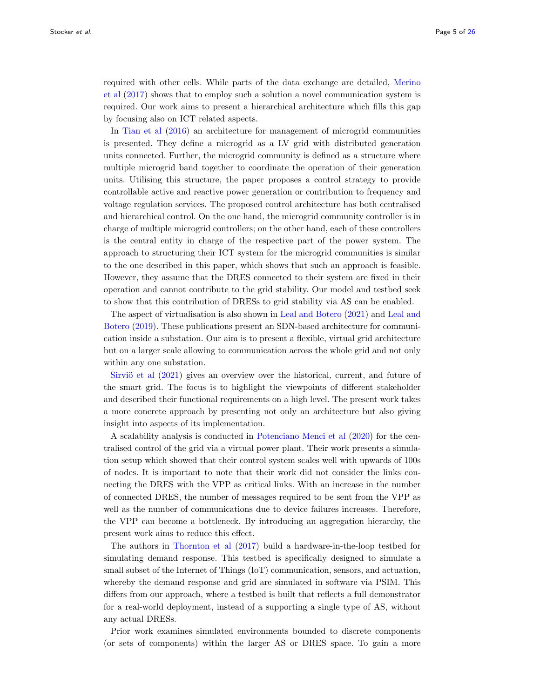required with other cells. While parts of the data exchange are detailed, [Merino](#page-24-5) [et al](#page-24-5) [\(2017\)](#page-24-5) shows that to employ such a solution a novel communication system is required. Our work aims to present a hierarchical architecture which fills this gap by focusing also on ICT related aspects.

In [Tian et al](#page-24-6) [\(2016\)](#page-24-6) an architecture for management of microgrid communities is presented. They define a microgrid as a LV grid with distributed generation units connected. Further, the microgrid community is defined as a structure where multiple microgrid band together to coordinate the operation of their generation units. Utilising this structure, the paper proposes a control strategy to provide controllable active and reactive power generation or contribution to frequency and voltage regulation services. The proposed control architecture has both centralised and hierarchical control. On the one hand, the microgrid community controller is in charge of multiple microgrid controllers; on the other hand, each of these controllers is the central entity in charge of the respective part of the power system. The approach to structuring their ICT system for the microgrid communities is similar to the one described in this paper, which shows that such an approach is feasible. However, they assume that the DRES connected to their system are fixed in their operation and cannot contribute to the grid stability. Our model and testbed seek to show that this contribution of DRESs to grid stability via AS can be enabled.

The aspect of virtualisation is also shown in [Leal and Botero](#page-24-7) [\(2021\)](#page-24-7) and [Leal and](#page-24-8) [Botero](#page-24-8) [\(2019\)](#page-24-8). These publications present an SDN-based architecture for communication inside a substation. Our aim is to present a flexible, virtual grid architecture but on a larger scale allowing to communication across the whole grid and not only within any one substation.

Sirviö et al  $(2021)$  gives an overview over the historical, current, and future of the smart grid. The focus is to highlight the viewpoints of different stakeholder and described their functional requirements on a high level. The present work takes a more concrete approach by presenting not only an architecture but also giving insight into aspects of its implementation.

A scalability analysis is conducted in [Potenciano Menci et al](#page-24-10) [\(2020\)](#page-24-10) for the centralised control of the grid via a virtual power plant. Their work presents a simulation setup which showed that their control system scales well with upwards of 100s of nodes. It is important to note that their work did not consider the links connecting the DRES with the VPP as critical links. With an increase in the number of connected DRES, the number of messages required to be sent from the VPP as well as the number of communications due to device failures increases. Therefore, the VPP can become a bottleneck. By introducing an aggregation hierarchy, the present work aims to reduce this effect.

The authors in [Thornton et al](#page-24-11) [\(2017\)](#page-24-11) build a hardware-in-the-loop testbed for simulating demand response. This testbed is specifically designed to simulate a small subset of the Internet of Things (IoT) communication, sensors, and actuation, whereby the demand response and grid are simulated in software via PSIM. This differs from our approach, where a testbed is built that reflects a full demonstrator for a real-world deployment, instead of a supporting a single type of AS, without any actual DRESs.

Prior work examines simulated environments bounded to discrete components (or sets of components) within the larger AS or DRES space. To gain a more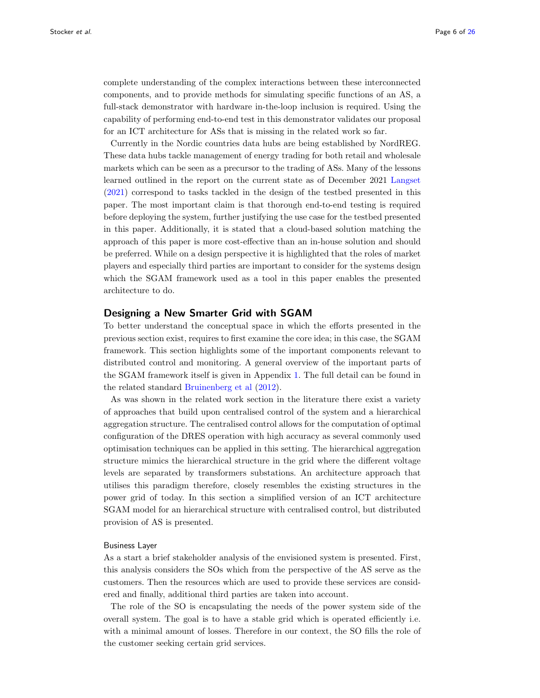complete understanding of the complex interactions between these interconnected components, and to provide methods for simulating specific functions of an AS, a full-stack demonstrator with hardware in-the-loop inclusion is required. Using the capability of performing end-to-end test in this demonstrator validates our proposal for an ICT architecture for ASs that is missing in the related work so far.

Currently in the Nordic countries data hubs are being established by NordREG. These data hubs tackle management of energy trading for both retail and wholesale markets which can be seen as a precursor to the trading of ASs. Many of the lessons learned outlined in the report on the current state as of December 2021 [Langset](#page-24-12) [\(2021\)](#page-24-12) correspond to tasks tackled in the design of the testbed presented in this paper. The most important claim is that thorough end-to-end testing is required before deploying the system, further justifying the use case for the testbed presented in this paper. Additionally, it is stated that a cloud-based solution matching the approach of this paper is more cost-effective than an in-house solution and should be preferred. While on a design perspective it is highlighted that the roles of market players and especially third parties are important to consider for the systems design which the SGAM framework used as a tool in this paper enables the presented architecture to do.

## <span id="page-5-0"></span>Designing a New Smarter Grid with SGAM

To better understand the conceptual space in which the efforts presented in the previous section exist, requires to first examine the core idea; in this case, the SGAM framework. This section highlights some of the important components relevant to distributed control and monitoring. A general overview of the important parts of the SGAM framework itself is given in Appendix [1.](#page-22-0) The full detail can be found in the related standard [Bruinenberg et al](#page-23-12) [\(2012\)](#page-23-12).

As was shown in the related work section in the literature there exist a variety of approaches that build upon centralised control of the system and a hierarchical aggregation structure. The centralised control allows for the computation of optimal configuration of the DRES operation with high accuracy as several commonly used optimisation techniques can be applied in this setting. The hierarchical aggregation structure mimics the hierarchical structure in the grid where the different voltage levels are separated by transformers substations. An architecture approach that utilises this paradigm therefore, closely resembles the existing structures in the power grid of today. In this section a simplified version of an ICT architecture SGAM model for an hierarchical structure with centralised control, but distributed provision of AS is presented.

#### Business Layer

As a start a brief stakeholder analysis of the envisioned system is presented. First, this analysis considers the SOs which from the perspective of the AS serve as the customers. Then the resources which are used to provide these services are considered and finally, additional third parties are taken into account.

The role of the SO is encapsulating the needs of the power system side of the overall system. The goal is to have a stable grid which is operated efficiently i.e. with a minimal amount of losses. Therefore in our context, the SO fills the role of the customer seeking certain grid services.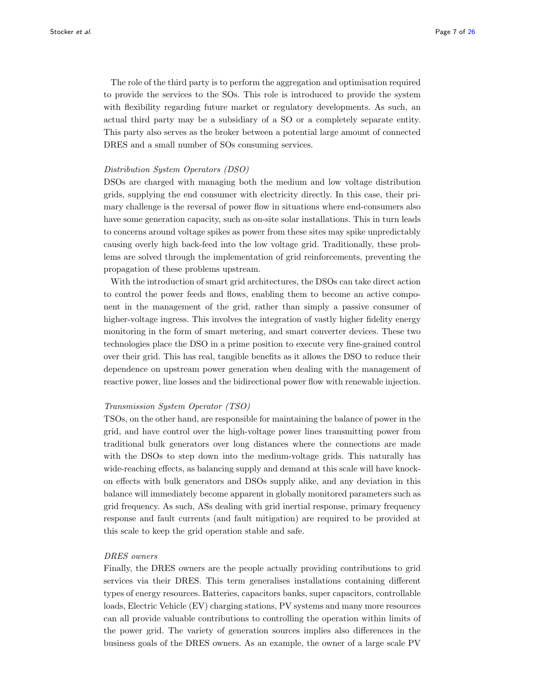The role of the third party is to perform the aggregation and optimisation required to provide the services to the SOs. This role is introduced to provide the system with flexibility regarding future market or regulatory developments. As such, an actual third party may be a subsidiary of a SO or a completely separate entity. This party also serves as the broker between a potential large amount of connected DRES and a small number of SOs consuming services.

#### Distribution System Operators (DSO)

DSOs are charged with managing both the medium and low voltage distribution grids, supplying the end consumer with electricity directly. In this case, their primary challenge is the reversal of power flow in situations where end-consumers also have some generation capacity, such as on-site solar installations. This in turn leads to concerns around voltage spikes as power from these sites may spike unpredictably causing overly high back-feed into the low voltage grid. Traditionally, these problems are solved through the implementation of grid reinforcements, preventing the propagation of these problems upstream.

With the introduction of smart grid architectures, the DSOs can take direct action to control the power feeds and flows, enabling them to become an active component in the management of the grid, rather than simply a passive consumer of higher-voltage ingress. This involves the integration of vastly higher fidelity energy monitoring in the form of smart metering, and smart converter devices. These two technologies place the DSO in a prime position to execute very fine-grained control over their grid. This has real, tangible benefits as it allows the DSO to reduce their dependence on upstream power generation when dealing with the management of reactive power, line losses and the bidirectional power flow with renewable injection.

#### Transmission System Operator (TSO)

TSOs, on the other hand, are responsible for maintaining the balance of power in the grid, and have control over the high-voltage power lines transmitting power from traditional bulk generators over long distances where the connections are made with the DSOs to step down into the medium-voltage grids. This naturally has wide-reaching effects, as balancing supply and demand at this scale will have knockon effects with bulk generators and DSOs supply alike, and any deviation in this balance will immediately become apparent in globally monitored parameters such as grid frequency. As such, ASs dealing with grid inertial response, primary frequency response and fault currents (and fault mitigation) are required to be provided at this scale to keep the grid operation stable and safe.

#### DRES owners

Finally, the DRES owners are the people actually providing contributions to grid services via their DRES. This term generalises installations containing different types of energy resources. Batteries, capacitors banks, super capacitors, controllable loads, Electric Vehicle (EV) charging stations, PV systems and many more resources can all provide valuable contributions to controlling the operation within limits of the power grid. The variety of generation sources implies also differences in the business goals of the DRES owners. As an example, the owner of a large scale PV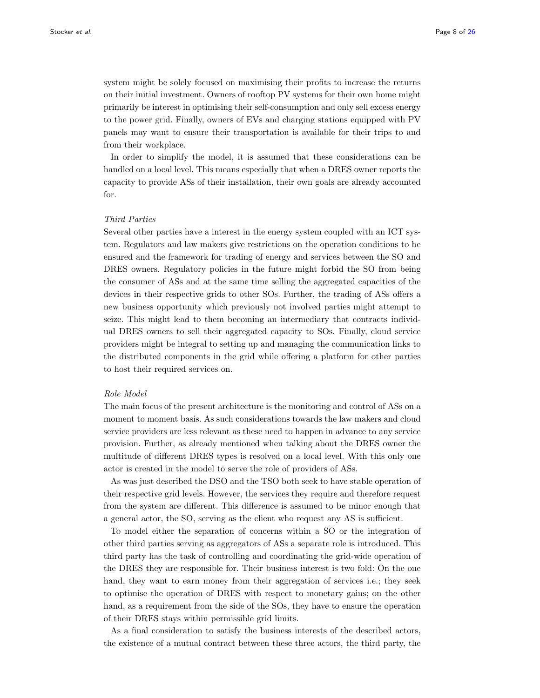system might be solely focused on maximising their profits to increase the returns on their initial investment. Owners of rooftop PV systems for their own home might primarily be interest in optimising their self-consumption and only sell excess energy to the power grid. Finally, owners of EVs and charging stations equipped with PV panels may want to ensure their transportation is available for their trips to and from their workplace.

In order to simplify the model, it is assumed that these considerations can be handled on a local level. This means especially that when a DRES owner reports the capacity to provide ASs of their installation, their own goals are already accounted for.

#### Third Parties

Several other parties have a interest in the energy system coupled with an ICT system. Regulators and law makers give restrictions on the operation conditions to be ensured and the framework for trading of energy and services between the SO and DRES owners. Regulatory policies in the future might forbid the SO from being the consumer of ASs and at the same time selling the aggregated capacities of the devices in their respective grids to other SOs. Further, the trading of ASs offers a new business opportunity which previously not involved parties might attempt to seize. This might lead to them becoming an intermediary that contracts individual DRES owners to sell their aggregated capacity to SOs. Finally, cloud service providers might be integral to setting up and managing the communication links to the distributed components in the grid while offering a platform for other parties to host their required services on.

#### Role Model

The main focus of the present architecture is the monitoring and control of ASs on a moment to moment basis. As such considerations towards the law makers and cloud service providers are less relevant as these need to happen in advance to any service provision. Further, as already mentioned when talking about the DRES owner the multitude of different DRES types is resolved on a local level. With this only one actor is created in the model to serve the role of providers of ASs.

As was just described the DSO and the TSO both seek to have stable operation of their respective grid levels. However, the services they require and therefore request from the system are different. This difference is assumed to be minor enough that a general actor, the SO, serving as the client who request any AS is sufficient.

To model either the separation of concerns within a SO or the integration of other third parties serving as aggregators of ASs a separate role is introduced. This third party has the task of controlling and coordinating the grid-wide operation of the DRES they are responsible for. Their business interest is two fold: On the one hand, they want to earn money from their aggregation of services i.e.; they seek to optimise the operation of DRES with respect to monetary gains; on the other hand, as a requirement from the side of the SOs, they have to ensure the operation of their DRES stays within permissible grid limits.

As a final consideration to satisfy the business interests of the described actors, the existence of a mutual contract between these three actors, the third party, the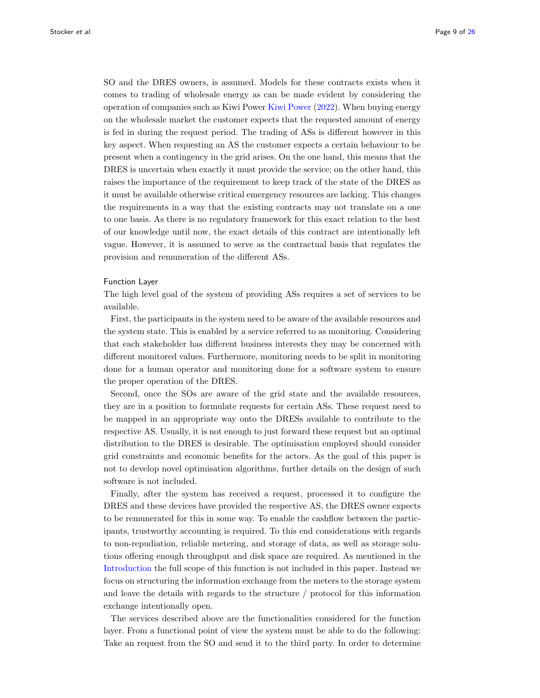SO and the DRES owners, is assumed. Models for these contracts exists when it comes to trading of wholesale energy as can be made evident by considering the operation of companies such as Kiwi Power [Kiwi Power](#page-23-13) [\(2022\)](#page-23-13). When buying energy on the wholesale market the customer expects that the requested amount of energy is fed in during the request period. The trading of ASs is different however in this key aspect. When requesting an AS the customer expects a certain behaviour to be present when a contingency in the grid arises. On the one hand, this means that the DRES is uncertain when exactly it must provide the service; on the other hand, this raises the importance of the requirement to keep track of the state of the DRES as it must be available otherwise critical emergency resources are lacking. This changes the requirements in a way that the existing contracts may not translate on a one to one basis. As there is no regulatory framework for this exact relation to the best of our knowledge until now, the exact details of this contract are intentionally left vague. However, it is assumed to serve as the contractual basis that regulates the provision and remuneration of the different ASs.

## Function Layer

The high level goal of the system of providing ASs requires a set of services to be available.

First, the participants in the system need to be aware of the available resources and the system state. This is enabled by a service referred to as monitoring. Considering that each stakeholder has different business interests they may be concerned with different monitored values. Furthermore, monitoring needs to be split in monitoring done for a human operator and monitoring done for a software system to ensure the proper operation of the DRES.

Second, once the SOs are aware of the grid state and the available resources, they are in a position to formulate requests for certain ASs. These request need to be mapped in an appropriate way onto the DRESs available to contribute to the respective AS. Usually, it is not enough to just forward these request but an optimal distribution to the DRES is desirable. The optimisation employed should consider grid constraints and economic benefits for the actors. As the goal of this paper is not to develop novel optimisation algorithms, further details on the design of such software is not included.

Finally, after the system has received a request, processed it to configure the DRES and these devices have provided the respective AS, the DRES owner expects to be remunerated for this in some way. To enable the cashflow between the participants, trustworthy accounting is required. To this end considerations with regards to non-repudiation, reliable metering, and storage of data, as well as storage solutions offering enough throughput and disk space are required. As mentioned in the [Introduction](#page-0-1) the full scope of this function is not included in this paper. Instead we focus on structuring the information exchange from the meters to the storage system and leave the details with regards to the structure / protocol for this information exchange intentionally open.

The services described above are the functionalities considered for the function layer. From a functional point of view the system must be able to do the following: Take an request from the SO and send it to the third party. In order to determine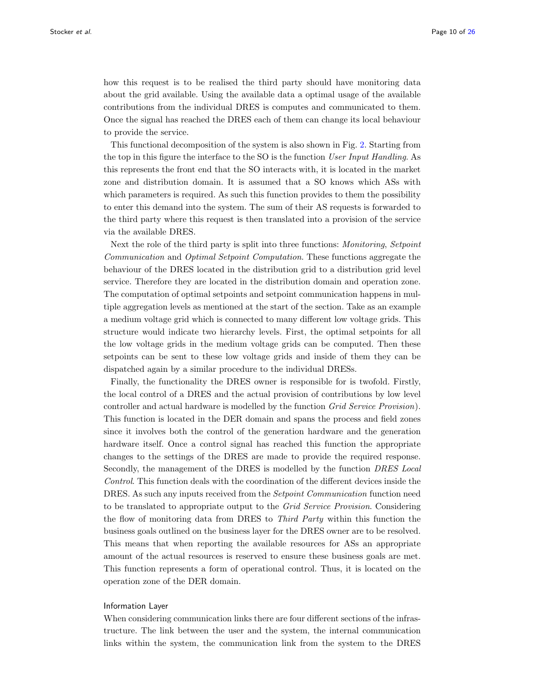how this request is to be realised the third party should have monitoring data about the grid available. Using the available data a optimal usage of the available contributions from the individual DRES is computes and communicated to them. Once the signal has reached the DRES each of them can change its local behaviour to provide the service.

This functional decomposition of the system is also shown in Fig. [2.](#page-24-13) Starting from the top in this figure the interface to the SO is the function User Input Handling. As this represents the front end that the SO interacts with, it is located in the market zone and distribution domain. It is assumed that a SO knows which ASs with which parameters is required. As such this function provides to them the possibility to enter this demand into the system. The sum of their AS requests is forwarded to the third party where this request is then translated into a provision of the service via the available DRES.

Next the role of the third party is split into three functions: Monitoring, Setpoint Communication and Optimal Setpoint Computation. These functions aggregate the behaviour of the DRES located in the distribution grid to a distribution grid level service. Therefore they are located in the distribution domain and operation zone. The computation of optimal setpoints and setpoint communication happens in multiple aggregation levels as mentioned at the start of the section. Take as an example a medium voltage grid which is connected to many different low voltage grids. This structure would indicate two hierarchy levels. First, the optimal setpoints for all the low voltage grids in the medium voltage grids can be computed. Then these setpoints can be sent to these low voltage grids and inside of them they can be dispatched again by a similar procedure to the individual DRESs.

Finally, the functionality the DRES owner is responsible for is twofold. Firstly, the local control of a DRES and the actual provision of contributions by low level controller and actual hardware is modelled by the function Grid Service Provision). This function is located in the DER domain and spans the process and field zones since it involves both the control of the generation hardware and the generation hardware itself. Once a control signal has reached this function the appropriate changes to the settings of the DRES are made to provide the required response. Secondly, the management of the DRES is modelled by the function DRES Local Control. This function deals with the coordination of the different devices inside the DRES. As such any inputs received from the *Setpoint Communication* function need to be translated to appropriate output to the *Grid Service Provision*. Considering the flow of monitoring data from DRES to Third Party within this function the business goals outlined on the business layer for the DRES owner are to be resolved. This means that when reporting the available resources for ASs an appropriate amount of the actual resources is reserved to ensure these business goals are met. This function represents a form of operational control. Thus, it is located on the operation zone of the DER domain.

#### Information Layer

When considering communication links there are four different sections of the infrastructure. The link between the user and the system, the internal communication links within the system, the communication link from the system to the DRES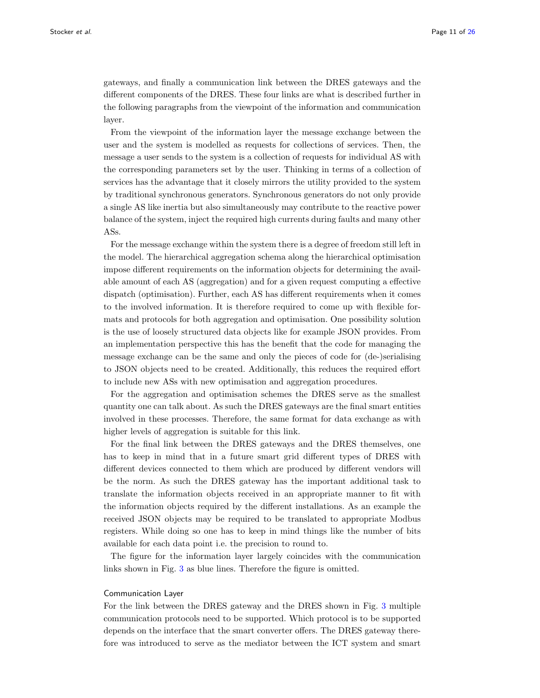gateways, and finally a communication link between the DRES gateways and the different components of the DRES. These four links are what is described further in the following paragraphs from the viewpoint of the information and communication layer.

From the viewpoint of the information layer the message exchange between the user and the system is modelled as requests for collections of services. Then, the message a user sends to the system is a collection of requests for individual AS with the corresponding parameters set by the user. Thinking in terms of a collection of services has the advantage that it closely mirrors the utility provided to the system by traditional synchronous generators. Synchronous generators do not only provide a single AS like inertia but also simultaneously may contribute to the reactive power balance of the system, inject the required high currents during faults and many other ASs.

For the message exchange within the system there is a degree of freedom still left in the model. The hierarchical aggregation schema along the hierarchical optimisation impose different requirements on the information objects for determining the available amount of each AS (aggregation) and for a given request computing a effective dispatch (optimisation). Further, each AS has different requirements when it comes to the involved information. It is therefore required to come up with flexible formats and protocols for both aggregation and optimisation. One possibility solution is the use of loosely structured data objects like for example JSON provides. From an implementation perspective this has the benefit that the code for managing the message exchange can be the same and only the pieces of code for (de-)serialising to JSON objects need to be created. Additionally, this reduces the required effort to include new ASs with new optimisation and aggregation procedures.

For the aggregation and optimisation schemes the DRES serve as the smallest quantity one can talk about. As such the DRES gateways are the final smart entities involved in these processes. Therefore, the same format for data exchange as with higher levels of aggregation is suitable for this link.

For the final link between the DRES gateways and the DRES themselves, one has to keep in mind that in a future smart grid different types of DRES with different devices connected to them which are produced by different vendors will be the norm. As such the DRES gateway has the important additional task to translate the information objects received in an appropriate manner to fit with the information objects required by the different installations. As an example the received JSON objects may be required to be translated to appropriate Modbus registers. While doing so one has to keep in mind things like the number of bits available for each data point i.e. the precision to round to.

The figure for the information layer largely coincides with the communication links shown in Fig. [3](#page-24-14) as blue lines. Therefore the figure is omitted.

#### Communication Layer

For the link between the DRES gateway and the DRES shown in Fig. [3](#page-24-14) multiple communication protocols need to be supported. Which protocol is to be supported depends on the interface that the smart converter offers. The DRES gateway therefore was introduced to serve as the mediator between the ICT system and smart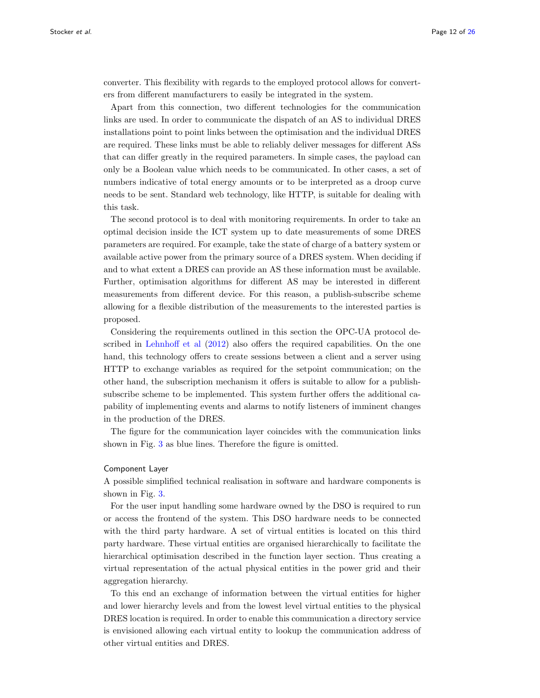converter. This flexibility with regards to the employed protocol allows for converters from different manufacturers to easily be integrated in the system.

Apart from this connection, two different technologies for the communication links are used. In order to communicate the dispatch of an AS to individual DRES installations point to point links between the optimisation and the individual DRES are required. These links must be able to reliably deliver messages for different ASs that can differ greatly in the required parameters. In simple cases, the payload can only be a Boolean value which needs to be communicated. In other cases, a set of numbers indicative of total energy amounts or to be interpreted as a droop curve needs to be sent. Standard web technology, like HTTP, is suitable for dealing with this task.

The second protocol is to deal with monitoring requirements. In order to take an optimal decision inside the ICT system up to date measurements of some DRES parameters are required. For example, take the state of charge of a battery system or available active power from the primary source of a DRES system. When deciding if and to what extent a DRES can provide an AS these information must be available. Further, optimisation algorithms for different AS may be interested in different measurements from different device. For this reason, a publish-subscribe scheme allowing for a flexible distribution of the measurements to the interested parties is proposed.

Considering the requirements outlined in this section the OPC-UA protocol described in [Lehnhoff et al](#page-24-15) [\(2012\)](#page-24-15) also offers the required capabilities. On the one hand, this technology offers to create sessions between a client and a server using HTTP to exchange variables as required for the setpoint communication; on the other hand, the subscription mechanism it offers is suitable to allow for a publishsubscribe scheme to be implemented. This system further offers the additional capability of implementing events and alarms to notify listeners of imminent changes in the production of the DRES.

The figure for the communication layer coincides with the communication links shown in Fig. [3](#page-24-14) as blue lines. Therefore the figure is omitted.

#### Component Layer

A possible simplified technical realisation in software and hardware components is shown in Fig. [3.](#page-24-14)

For the user input handling some hardware owned by the DSO is required to run or access the frontend of the system. This DSO hardware needs to be connected with the third party hardware. A set of virtual entities is located on this third party hardware. These virtual entities are organised hierarchically to facilitate the hierarchical optimisation described in the function layer section. Thus creating a virtual representation of the actual physical entities in the power grid and their aggregation hierarchy.

To this end an exchange of information between the virtual entities for higher and lower hierarchy levels and from the lowest level virtual entities to the physical DRES location is required. In order to enable this communication a directory service is envisioned allowing each virtual entity to lookup the communication address of other virtual entities and DRES.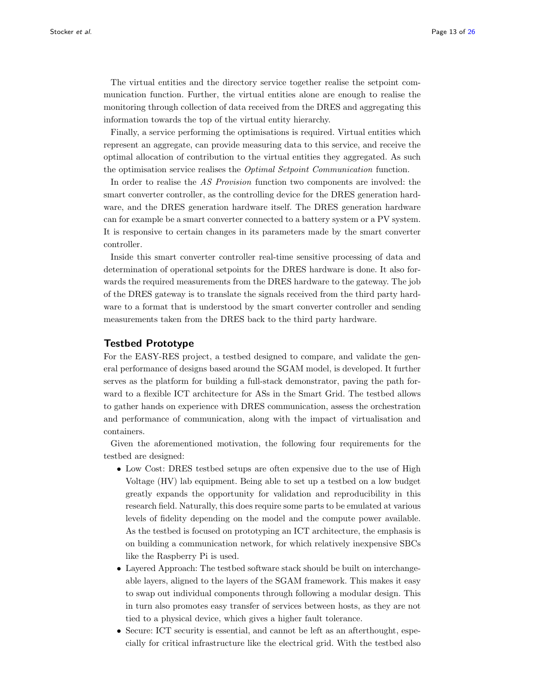The virtual entities and the directory service together realise the setpoint communication function. Further, the virtual entities alone are enough to realise the monitoring through collection of data received from the DRES and aggregating this information towards the top of the virtual entity hierarchy.

Finally, a service performing the optimisations is required. Virtual entities which represent an aggregate, can provide measuring data to this service, and receive the optimal allocation of contribution to the virtual entities they aggregated. As such the optimisation service realises the Optimal Setpoint Communication function.

In order to realise the AS Provision function two components are involved: the smart converter controller, as the controlling device for the DRES generation hardware, and the DRES generation hardware itself. The DRES generation hardware can for example be a smart converter connected to a battery system or a PV system. It is responsive to certain changes in its parameters made by the smart converter controller.

Inside this smart converter controller real-time sensitive processing of data and determination of operational setpoints for the DRES hardware is done. It also forwards the required measurements from the DRES hardware to the gateway. The job of the DRES gateway is to translate the signals received from the third party hardware to a format that is understood by the smart converter controller and sending measurements taken from the DRES back to the third party hardware.

# <span id="page-12-0"></span>Testbed Prototype

For the EASY-RES project, a testbed designed to compare, and validate the general performance of designs based around the SGAM model, is developed. It further serves as the platform for building a full-stack demonstrator, paving the path forward to a flexible ICT architecture for ASs in the Smart Grid. The testbed allows to gather hands on experience with DRES communication, assess the orchestration and performance of communication, along with the impact of virtualisation and containers.

Given the aforementioned motivation, the following four requirements for the testbed are designed:

- Low Cost: DRES testbed setups are often expensive due to the use of High Voltage (HV) lab equipment. Being able to set up a testbed on a low budget greatly expands the opportunity for validation and reproducibility in this research field. Naturally, this does require some parts to be emulated at various levels of fidelity depending on the model and the compute power available. As the testbed is focused on prototyping an ICT architecture, the emphasis is on building a communication network, for which relatively inexpensive SBCs like the Raspberry Pi is used.
- Layered Approach: The testbed software stack should be built on interchangeable layers, aligned to the layers of the SGAM framework. This makes it easy to swap out individual components through following a modular design. This in turn also promotes easy transfer of services between hosts, as they are not tied to a physical device, which gives a higher fault tolerance.
- Secure: ICT security is essential, and cannot be left as an after thought, especially for critical infrastructure like the electrical grid. With the testbed also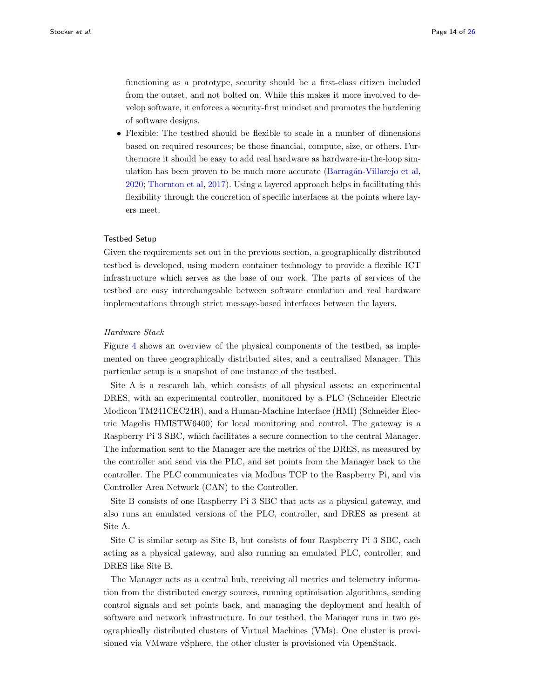functioning as a prototype, security should be a first-class citizen included from the outset, and not bolted on. While this makes it more involved to develop software, it enforces a security-first mindset and promotes the hardening of software designs.

• Flexible: The testbed should be flexible to scale in a number of dimensions based on required resources; be those financial, compute, size, or others. Furthermore it should be easy to add real hardware as hardware-in-the-loop simulation has been proven to be much more accurate (Barragán-Villarejo et al, [2020;](#page-23-14) [Thornton et al,](#page-24-11) [2017\)](#page-24-11). Using a layered approach helps in facilitating this flexibility through the concretion of specific interfaces at the points where layers meet.

#### Testbed Setup

Given the requirements set out in the previous section, a geographically distributed testbed is developed, using modern container technology to provide a flexible ICT infrastructure which serves as the base of our work. The parts of services of the testbed are easy interchangeable between software emulation and real hardware implementations through strict message-based interfaces between the layers.

#### Hardware Stack

Figure [4](#page-24-16) shows an overview of the physical components of the testbed, as implemented on three geographically distributed sites, and a centralised Manager. This particular setup is a snapshot of one instance of the testbed.

Site A is a research lab, which consists of all physical assets: an experimental DRES, with an experimental controller, monitored by a PLC (Schneider Electric Modicon TM241CEC24R), and a Human-Machine Interface (HMI) (Schneider Electric Magelis HMISTW6400) for local monitoring and control. The gateway is a Raspberry Pi 3 SBC, which facilitates a secure connection to the central Manager. The information sent to the Manager are the metrics of the DRES, as measured by the controller and send via the PLC, and set points from the Manager back to the controller. The PLC communicates via Modbus TCP to the Raspberry Pi, and via Controller Area Network (CAN) to the Controller.

Site B consists of one Raspberry Pi 3 SBC that acts as a physical gateway, and also runs an emulated versions of the PLC, controller, and DRES as present at Site A.

Site C is similar setup as Site B, but consists of four Raspberry Pi 3 SBC, each acting as a physical gateway, and also running an emulated PLC, controller, and DRES like Site B.

The Manager acts as a central hub, receiving all metrics and telemetry information from the distributed energy sources, running optimisation algorithms, sending control signals and set points back, and managing the deployment and health of software and network infrastructure. In our testbed, the Manager runs in two geographically distributed clusters of Virtual Machines (VMs). One cluster is provisioned via VMware vSphere, the other cluster is provisioned via OpenStack.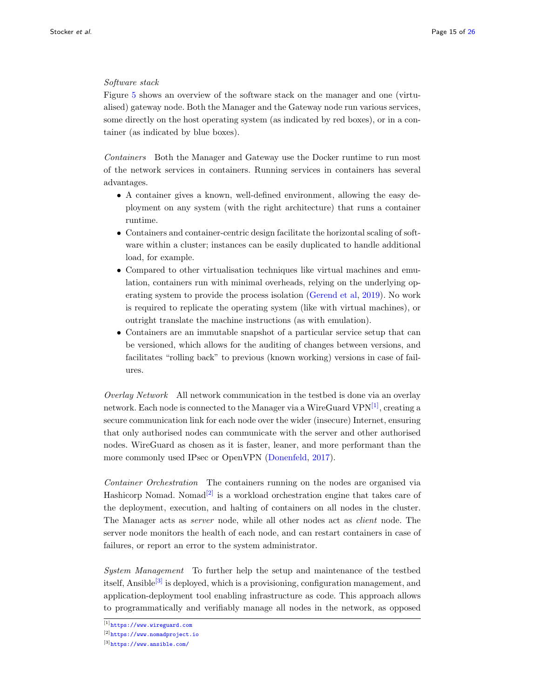## Software stack

Figure [5](#page-25-1) shows an overview of the software stack on the manager and one (virtualised) gateway node. Both the Manager and the Gateway node run various services, some directly on the host operating system (as indicated by red boxes), or in a container (as indicated by blue boxes).

Containers Both the Manager and Gateway use the Docker runtime to run most of the network services in containers. Running services in containers has several advantages.

- A container gives a known, well-defined environment, allowing the easy deployment on any system (with the right architecture) that runs a container runtime.
- Containers and container-centric design facilitate the horizontal scaling of software within a cluster; instances can be easily duplicated to handle additional load, for example.
- Compared to other virtualisation techniques like virtual machines and emulation, containers run with minimal overheads, relying on the underlying operating system to provide the process isolation [\(Gerend et al,](#page-23-15) [2019\)](#page-23-15). No work is required to replicate the operating system (like with virtual machines), or outright translate the machine instructions (as with emulation).
- Containers are an immutable snapshot of a particular service setup that can be versioned, which allows for the auditing of changes between versions, and facilitates "rolling back" to previous (known working) versions in case of failures.

Overlay Network All network communication in the testbed is done via an overlay network. Each node is connected to the Manager via a WireGuard  $VPN^{[1]}$  $VPN^{[1]}$  $VPN^{[1]}$ , creating a secure communication link for each node over the wider (insecure) Internet, ensuring that only authorised nodes can communicate with the server and other authorised nodes. WireGuard as chosen as it is faster, leaner, and more performant than the more commonly used IPsec or OpenVPN [\(Donenfeld,](#page-23-16) [2017\)](#page-23-16).

Container Orchestration The containers running on the nodes are organised via Hashicorp Nomad. Nomad<sup>[\[2\]](#page-14-1)</sup> is a workload orchestration engine that takes care of the deployment, execution, and halting of containers on all nodes in the cluster. The Manager acts as server node, while all other nodes act as client node. The server node monitors the health of each node, and can restart containers in case of failures, or report an error to the system administrator.

System Management To further help the setup and maintenance of the testbed itself, Ansible<sup>[\[3\]](#page-14-2)</sup> is deployed, which is a provisioning, configuration management, and application-deployment tool enabling infrastructure as code. This approach allows to programmatically and verifiably manage all nodes in the network, as opposed

<span id="page-14-1"></span><span id="page-14-0"></span><sup>[1]</sup><https://www.wireguard.com> [2]<https://www.nomadproject.io>

<span id="page-14-2"></span><sup>[3]</sup><https://www.ansible.com/>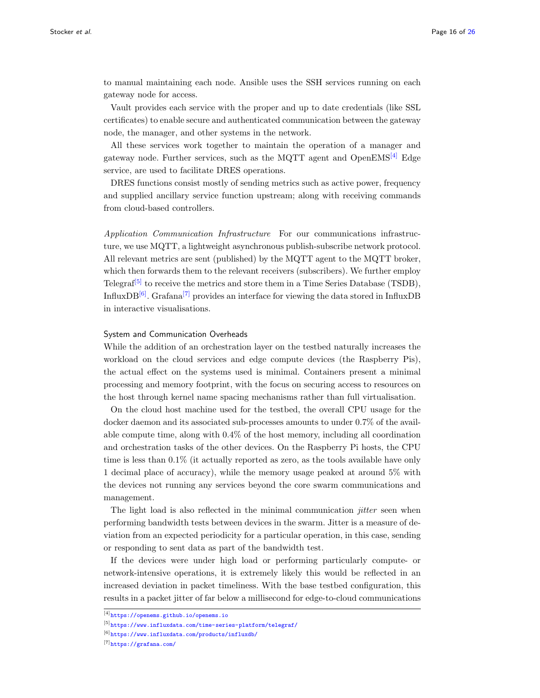to manual maintaining each node. Ansible uses the SSH services running on each gateway node for access.

Vault provides each service with the proper and up to date credentials (like SSL certificates) to enable secure and authenticated communication between the gateway node, the manager, and other systems in the network.

All these services work together to maintain the operation of a manager and gateway node. Further services, such as the MQTT agent and  $OpenEMS^{[4]}$  $OpenEMS^{[4]}$  $OpenEMS^{[4]}$  Edge service, are used to facilitate DRES operations.

DRES functions consist mostly of sending metrics such as active power, frequency and supplied ancillary service function upstream; along with receiving commands from cloud-based controllers.

Application Communication Infrastructure For our communications infrastructure, we use MQTT, a lightweight asynchronous publish-subscribe network protocol. All relevant metrics are sent (published) by the MQTT agent to the MQTT broker, which then forwards them to the relevant receivers (subscribers). We further employ Telegraf<sup>[\[5\]](#page-15-1)</sup> to receive the metrics and store them in a Time Series Database (TSDB), InfluxDB $^{[6]}$  $^{[6]}$  $^{[6]}$ . Grafana<sup>[\[7\]](#page-15-3)</sup> provides an interface for viewing the data stored in InfluxDB in interactive visualisations.

#### System and Communication Overheads

While the addition of an orchestration layer on the testbed naturally increases the workload on the cloud services and edge compute devices (the Raspberry Pis), the actual effect on the systems used is minimal. Containers present a minimal processing and memory footprint, with the focus on securing access to resources on the host through kernel name spacing mechanisms rather than full virtualisation.

On the cloud host machine used for the testbed, the overall CPU usage for the docker daemon and its associated sub-processes amounts to under 0.7% of the available compute time, along with 0.4% of the host memory, including all coordination and orchestration tasks of the other devices. On the Raspberry Pi hosts, the CPU time is less than 0.1% (it actually reported as zero, as the tools available have only 1 decimal place of accuracy), while the memory usage peaked at around 5% with the devices not running any services beyond the core swarm communications and management.

The light load is also reflected in the minimal communication  $\it{jitter}$  seen when performing bandwidth tests between devices in the swarm. Jitter is a measure of deviation from an expected periodicity for a particular operation, in this case, sending or responding to sent data as part of the bandwidth test.

If the devices were under high load or performing particularly compute- or network-intensive operations, it is extremely likely this would be reflected in an increased deviation in packet timeliness. With the base testbed configuration, this results in a packet jitter of far below a millisecond for edge-to-cloud communications

[7]<https://grafana.com/>

<span id="page-15-1"></span><span id="page-15-0"></span><sup>[4]</sup><https://openems.github.io/openems.io>

<span id="page-15-2"></span><sup>[5]</sup><https://www.influxdata.com/time-series-platform/telegraf/>

<span id="page-15-3"></span><sup>[6]</sup><https://www.influxdata.com/products/influxdb/>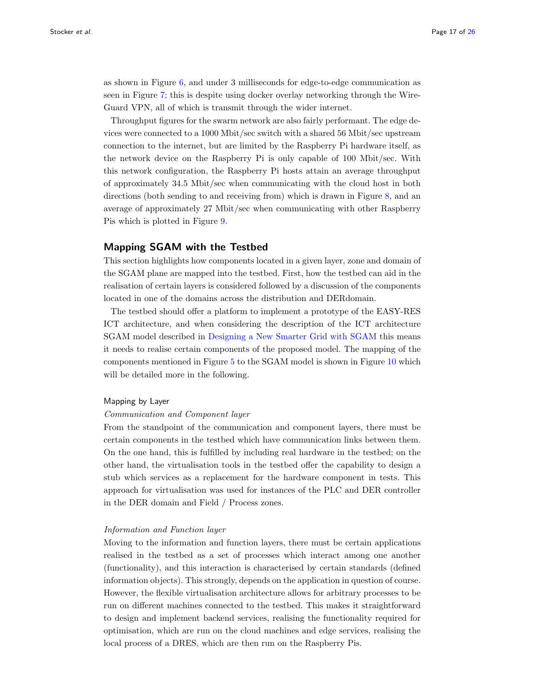as shown in Figure [6,](#page-25-2) and under 3 milliseconds for edge-to-edge communication as seen in Figure [7;](#page-25-3) this is despite using docker overlay networking through the Wire-Guard VPN, all of which is transmit through the wider internet.

Throughput figures for the swarm network are also fairly performant. The edge devices were connected to a 1000 Mbit/sec switch with a shared 56 Mbit/sec upstream connection to the internet, but are limited by the Raspberry Pi hardware itself, as the network device on the Raspberry Pi is only capable of 100 Mbit/sec. With this network configuration, the Raspberry Pi hosts attain an average throughput of approximately 34.5 Mbit/sec when communicating with the cloud host in both directions (both sending to and receiving from) which is drawn in Figure [8,](#page-25-4) and an average of approximately 27 Mbit/sec when communicating with other Raspberry Pis which is plotted in Figure [9.](#page-25-5)

## Mapping SGAM with the Testbed

This section highlights how components located in a given layer, zone and domain of the SGAM plane are mapped into the testbed. First, how the testbed can aid in the realisation of certain layers is considered followed by a discussion of the components located in one of the domains across the distribution and DERdomain.

The testbed should offer a platform to implement a prototype of the EASY-RES ICT architecture, and when considering the description of the ICT architecture SGAM model described in [Designing a New Smarter Grid with SGAM](#page-5-0) this means it needs to realise certain components of the proposed model. The mapping of the components mentioned in Figure [5](#page-25-1) to the SGAM model is shown in Figure [10](#page-25-6) which will be detailed more in the following.

#### Mapping by Layer

#### Communication and Component layer

From the standpoint of the communication and component layers, there must be certain components in the testbed which have communication links between them. On the one hand, this is fulfilled by including real hardware in the testbed; on the other hand, the virtualisation tools in the testbed offer the capability to design a stub which services as a replacement for the hardware component in tests. This approach for virtualisation was used for instances of the PLC and DER controller in the DER domain and Field / Process zones.

## Information and Function layer

Moving to the information and function layers, there must be certain applications realised in the testbed as a set of processes which interact among one another (functionality), and this interaction is characterised by certain standards (defined information objects). This strongly, depends on the application in question of course. However, the flexible virtualisation architecture allows for arbitrary processes to be run on different machines connected to the testbed. This makes it straightforward to design and implement backend services, realising the functionality required for optimisation, which are run on the cloud machines and edge services, realising the local process of a DRES, which are then run on the Raspberry Pis.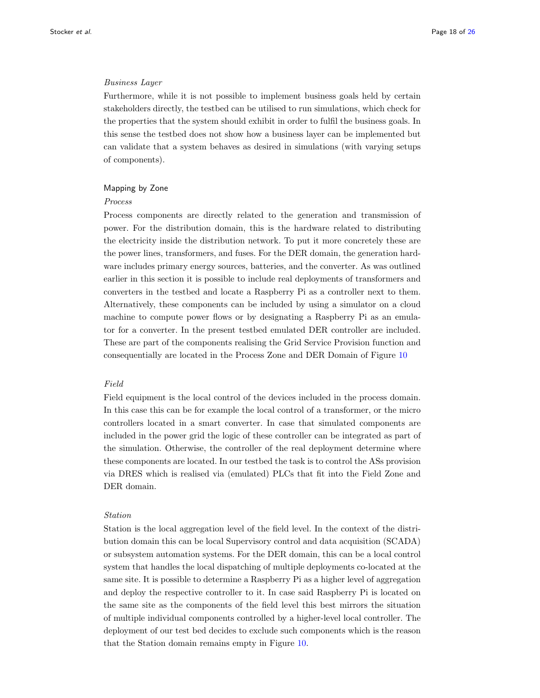#### Business Layer

Furthermore, while it is not possible to implement business goals held by certain stakeholders directly, the testbed can be utilised to run simulations, which check for the properties that the system should exhibit in order to fulfil the business goals. In this sense the testbed does not show how a business layer can be implemented but can validate that a system behaves as desired in simulations (with varying setups of components).

#### Mapping by Zone

## Process

Process components are directly related to the generation and transmission of power. For the distribution domain, this is the hardware related to distributing the electricity inside the distribution network. To put it more concretely these are the power lines, transformers, and fuses. For the DER domain, the generation hardware includes primary energy sources, batteries, and the converter. As was outlined earlier in this section it is possible to include real deployments of transformers and converters in the testbed and locate a Raspberry Pi as a controller next to them. Alternatively, these components can be included by using a simulator on a cloud machine to compute power flows or by designating a Raspberry Pi as an emulator for a converter. In the present testbed emulated DER controller are included. These are part of the components realising the Grid Service Provision function and consequentially are located in the Process Zone and DER Domain of Figure [10](#page-25-6)

## Field

Field equipment is the local control of the devices included in the process domain. In this case this can be for example the local control of a transformer, or the micro controllers located in a smart converter. In case that simulated components are included in the power grid the logic of these controller can be integrated as part of the simulation. Otherwise, the controller of the real deployment determine where these components are located. In our testbed the task is to control the ASs provision via DRES which is realised via (emulated) PLCs that fit into the Field Zone and DER domain.

#### Station

Station is the local aggregation level of the field level. In the context of the distribution domain this can be local Supervisory control and data acquisition (SCADA) or subsystem automation systems. For the DER domain, this can be a local control system that handles the local dispatching of multiple deployments co-located at the same site. It is possible to determine a Raspberry Pi as a higher level of aggregation and deploy the respective controller to it. In case said Raspberry Pi is located on the same site as the components of the field level this best mirrors the situation of multiple individual components controlled by a higher-level local controller. The deployment of our test bed decides to exclude such components which is the reason that the Station domain remains empty in Figure [10.](#page-25-6)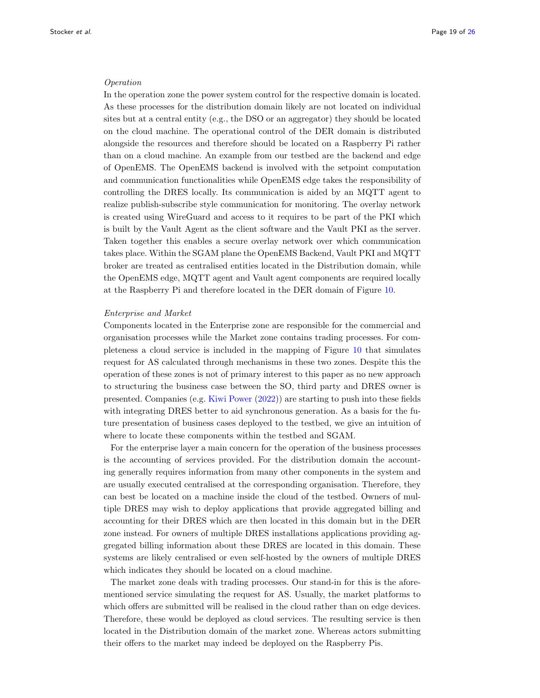#### Operation

In the operation zone the power system control for the respective domain is located. As these processes for the distribution domain likely are not located on individual sites but at a central entity (e.g., the DSO or an aggregator) they should be located on the cloud machine. The operational control of the DER domain is distributed alongside the resources and therefore should be located on a Raspberry Pi rather than on a cloud machine. An example from our testbed are the backend and edge of OpenEMS. The OpenEMS backend is involved with the setpoint computation and communication functionalities while OpenEMS edge takes the responsibility of controlling the DRES locally. Its communication is aided by an MQTT agent to realize publish-subscribe style communication for monitoring. The overlay network is created using WireGuard and access to it requires to be part of the PKI which is built by the Vault Agent as the client software and the Vault PKI as the server. Taken together this enables a secure overlay network over which communication takes place. Within the SGAM plane the OpenEMS Backend, Vault PKI and MQTT broker are treated as centralised entities located in the Distribution domain, while the OpenEMS edge, MQTT agent and Vault agent components are required locally at the Raspberry Pi and therefore located in the DER domain of Figure [10.](#page-25-6)

#### Enterprise and Market

Components located in the Enterprise zone are responsible for the commercial and organisation processes while the Market zone contains trading processes. For completeness a cloud service is included in the mapping of Figure [10](#page-25-6) that simulates request for AS calculated through mechanisms in these two zones. Despite this the operation of these zones is not of primary interest to this paper as no new approach to structuring the business case between the SO, third party and DRES owner is presented. Companies (e.g. [Kiwi Power](#page-23-13) [\(2022\)](#page-23-13)) are starting to push into these fields with integrating DRES better to aid synchronous generation. As a basis for the future presentation of business cases deployed to the testbed, we give an intuition of where to locate these components within the testbed and SGAM.

For the enterprise layer a main concern for the operation of the business processes is the accounting of services provided. For the distribution domain the accounting generally requires information from many other components in the system and are usually executed centralised at the corresponding organisation. Therefore, they can best be located on a machine inside the cloud of the testbed. Owners of multiple DRES may wish to deploy applications that provide aggregated billing and accounting for their DRES which are then located in this domain but in the DER zone instead. For owners of multiple DRES installations applications providing aggregated billing information about these DRES are located in this domain. These systems are likely centralised or even self-hosted by the owners of multiple DRES which indicates they should be located on a cloud machine.

The market zone deals with trading processes. Our stand-in for this is the aforementioned service simulating the request for AS. Usually, the market platforms to which offers are submitted will be realised in the cloud rather than on edge devices. Therefore, these would be deployed as cloud services. The resulting service is then located in the Distribution domain of the market zone. Whereas actors submitting their offers to the market may indeed be deployed on the Raspberry Pis.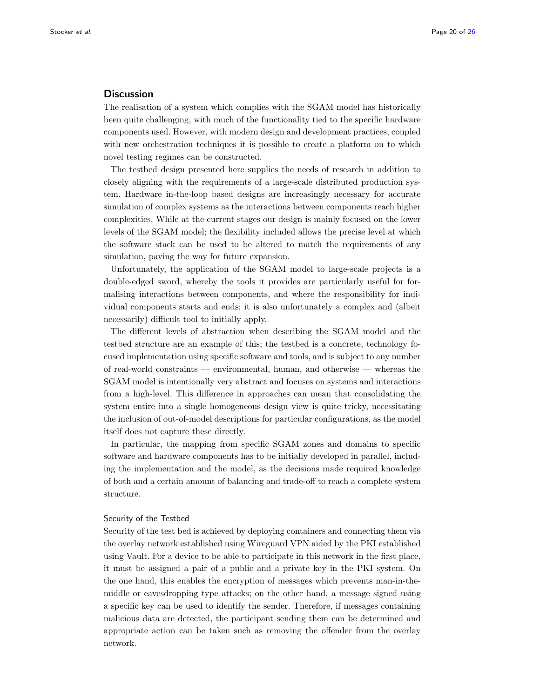## <span id="page-19-0"></span>**Discussion**

The realisation of a system which complies with the SGAM model has historically been quite challenging, with much of the functionality tied to the specific hardware components used. However, with modern design and development practices, coupled with new orchestration techniques it is possible to create a platform on to which novel testing regimes can be constructed.

The testbed design presented here supplies the needs of research in addition to closely aligning with the requirements of a large-scale distributed production system. Hardware in-the-loop based designs are increasingly necessary for accurate simulation of complex systems as the interactions between components reach higher complexities. While at the current stages our design is mainly focused on the lower levels of the SGAM model; the flexibility included allows the precise level at which the software stack can be used to be altered to match the requirements of any simulation, paving the way for future expansion.

Unfortunately, the application of the SGAM model to large-scale projects is a double-edged sword, whereby the tools it provides are particularly useful for formalising interactions between components, and where the responsibility for individual components starts and ends; it is also unfortunately a complex and (albeit necessarily) difficult tool to initially apply.

The different levels of abstraction when describing the SGAM model and the testbed structure are an example of this; the testbed is a concrete, technology focused implementation using specific software and tools, and is subject to any number of real-world constraints — environmental, human, and otherwise — whereas the SGAM model is intentionally very abstract and focuses on systems and interactions from a high-level. This difference in approaches can mean that consolidating the system entire into a single homogeneous design view is quite tricky, necessitating the inclusion of out-of-model descriptions for particular configurations, as the model itself does not capture these directly.

In particular, the mapping from specific SGAM zones and domains to specific software and hardware components has to be initially developed in parallel, including the implementation and the model, as the decisions made required knowledge of both and a certain amount of balancing and trade-off to reach a complete system structure.

## Security of the Testbed

Security of the test bed is achieved by deploying containers and connecting them via the overlay network established using Wireguard VPN aided by the PKI established using Vault. For a device to be able to participate in this network in the first place, it must be assigned a pair of a public and a private key in the PKI system. On the one hand, this enables the encryption of messages which prevents man-in-themiddle or eavesdropping type attacks; on the other hand, a message signed using a specific key can be used to identify the sender. Therefore, if messages containing malicious data are detected, the participant sending them can be determined and appropriate action can be taken such as removing the offender from the overlay network.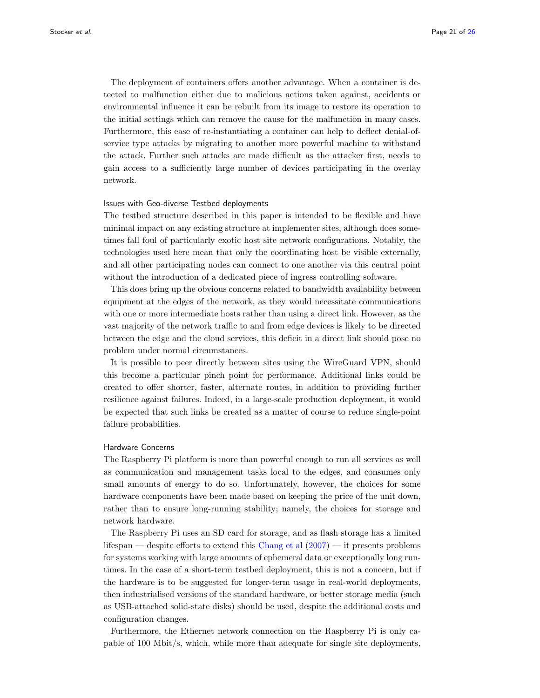The deployment of containers offers another advantage. When a container is detected to malfunction either due to malicious actions taken against, accidents or environmental influence it can be rebuilt from its image to restore its operation to the initial settings which can remove the cause for the malfunction in many cases. Furthermore, this ease of re-instantiating a container can help to deflect denial-ofservice type attacks by migrating to another more powerful machine to withstand the attack. Further such attacks are made difficult as the attacker first, needs to gain access to a sufficiently large number of devices participating in the overlay network.

## Issues with Geo-diverse Testbed deployments

The testbed structure described in this paper is intended to be flexible and have minimal impact on any existing structure at implementer sites, although does sometimes fall foul of particularly exotic host site network configurations. Notably, the technologies used here mean that only the coordinating host be visible externally, and all other participating nodes can connect to one another via this central point without the introduction of a dedicated piece of ingress controlling software.

This does bring up the obvious concerns related to bandwidth availability between equipment at the edges of the network, as they would necessitate communications with one or more intermediate hosts rather than using a direct link. However, as the vast majority of the network traffic to and from edge devices is likely to be directed between the edge and the cloud services, this deficit in a direct link should pose no problem under normal circumstances.

It is possible to peer directly between sites using the WireGuard VPN, should this become a particular pinch point for performance. Additional links could be created to offer shorter, faster, alternate routes, in addition to providing further resilience against failures. Indeed, in a large-scale production deployment, it would be expected that such links be created as a matter of course to reduce single-point failure probabilities.

#### Hardware Concerns

The Raspberry Pi platform is more than powerful enough to run all services as well as communication and management tasks local to the edges, and consumes only small amounts of energy to do so. Unfortunately, however, the choices for some hardware components have been made based on keeping the price of the unit down, rather than to ensure long-running stability; namely, the choices for storage and network hardware.

The Raspberry Pi uses an SD card for storage, and as flash storage has a limited lifespan — despite efforts to extend this [Chang et al](#page-23-17) [\(2007\)](#page-23-17) — it presents problems for systems working with large amounts of ephemeral data or exceptionally long runtimes. In the case of a short-term testbed deployment, this is not a concern, but if the hardware is to be suggested for longer-term usage in real-world deployments, then industrialised versions of the standard hardware, or better storage media (such as USB-attached solid-state disks) should be used, despite the additional costs and configuration changes.

Furthermore, the Ethernet network connection on the Raspberry Pi is only capable of 100 Mbit/s, which, while more than adequate for single site deployments,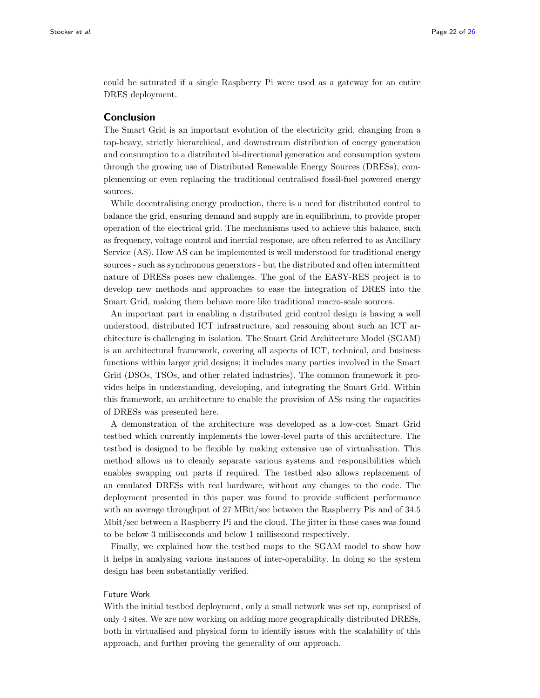could be saturated if a single Raspberry Pi were used as a gateway for an entire DRES deployment.

## <span id="page-21-0"></span>Conclusion

The Smart Grid is an important evolution of the electricity grid, changing from a top-heavy, strictly hierarchical, and downstream distribution of energy generation and consumption to a distributed bi-directional generation and consumption system through the growing use of Distributed Renewable Energy Sources (DRESs), complementing or even replacing the traditional centralised fossil-fuel powered energy sources.

While decentralising energy production, there is a need for distributed control to balance the grid, ensuring demand and supply are in equilibrium, to provide proper operation of the electrical grid. The mechanisms used to achieve this balance, such as frequency, voltage control and inertial response, are often referred to as Ancillary Service (AS). How AS can be implemented is well understood for traditional energy sources - such as synchronous generators - but the distributed and often intermittent nature of DRESs poses new challenges. The goal of the EASY-RES project is to develop new methods and approaches to ease the integration of DRES into the Smart Grid, making them behave more like traditional macro-scale sources.

An important part in enabling a distributed grid control design is having a well understood, distributed ICT infrastructure, and reasoning about such an ICT architecture is challenging in isolation. The Smart Grid Architecture Model (SGAM) is an architectural framework, covering all aspects of ICT, technical, and business functions within larger grid designs; it includes many parties involved in the Smart Grid (DSOs, TSOs, and other related industries). The common framework it provides helps in understanding, developing, and integrating the Smart Grid. Within this framework, an architecture to enable the provision of ASs using the capacities of DRESs was presented here.

A demonstration of the architecture was developed as a low-cost Smart Grid testbed which currently implements the lower-level parts of this architecture. The testbed is designed to be flexible by making extensive use of virtualisation. This method allows us to cleanly separate various systems and responsibilities which enables swapping out parts if required. The testbed also allows replacement of an emulated DRESs with real hardware, without any changes to the code. The deployment presented in this paper was found to provide sufficient performance with an average throughput of 27 MBit/sec between the Raspberry Pis and of 34.5 Mbit/sec between a Raspberry Pi and the cloud. The jitter in these cases was found to be below 3 milliseconds and below 1 millisecond respectively.

Finally, we explained how the testbed maps to the SGAM model to show how it helps in analysing various instances of inter-operability. In doing so the system design has been substantially verified.

#### Future Work

With the initial testbed deployment, only a small network was set up, comprised of only 4 sites. We are now working on adding more geographically distributed DRESs, both in virtualised and physical form to identify issues with the scalability of this approach, and further proving the generality of our approach.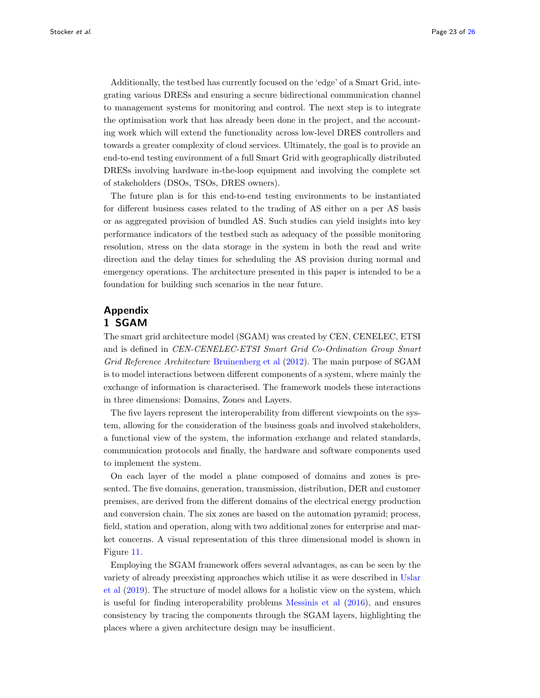Additionally, the testbed has currently focused on the 'edge' of a Smart Grid, integrating various DRESs and ensuring a secure bidirectional communication channel to management systems for monitoring and control. The next step is to integrate the optimisation work that has already been done in the project, and the accounting work which will extend the functionality across low-level DRES controllers and towards a greater complexity of cloud services. Ultimately, the goal is to provide an end-to-end testing environment of a full Smart Grid with geographically distributed DRESs involving hardware in-the-loop equipment and involving the complete set of stakeholders (DSOs, TSOs, DRES owners).

The future plan is for this end-to-end testing environments to be instantiated for different business cases related to the trading of AS either on a per AS basis or as aggregated provision of bundled AS. Such studies can yield insights into key performance indicators of the testbed such as adequacy of the possible monitoring resolution, stress on the data storage in the system in both the read and write direction and the delay times for scheduling the AS provision during normal and emergency operations. The architecture presented in this paper is intended to be a foundation for building such scenarios in the near future.

# <span id="page-22-0"></span>Appendix 1 SGAM

The smart grid architecture model (SGAM) was created by CEN, CENELEC, ETSI and is defined in CEN-CENELEC-ETSI Smart Grid Co-Ordination Group Smart Grid Reference Architecture [Bruinenberg et al](#page-23-12) [\(2012\)](#page-23-12). The main purpose of SGAM is to model interactions between different components of a system, where mainly the exchange of information is characterised. The framework models these interactions in three dimensions: Domains, Zones and Layers.

The five layers represent the interoperability from different viewpoints on the system, allowing for the consideration of the business goals and involved stakeholders, a functional view of the system, the information exchange and related standards, communication protocols and finally, the hardware and software components used to implement the system.

On each layer of the model a plane composed of domains and zones is presented. The five domains, generation, transmission, distribution, DER and customer premises, are derived from the different domains of the electrical energy production and conversion chain. The six zones are based on the automation pyramid; process, field, station and operation, along with two additional zones for enterprise and market concerns. A visual representation of this three dimensional model is shown in Figure [11.](#page-25-7)

Employing the SGAM framework offers several advantages, as can be seen by the variety of already preexisting approaches which utilise it as were described in [Uslar](#page-24-17) [et al](#page-24-17) [\(2019\)](#page-24-17). The structure of model allows for a holistic view on the system, which is useful for finding interoperability problems [Messinis et al](#page-24-2) [\(2016\)](#page-24-2), and ensures consistency by tracing the components through the SGAM layers, highlighting the places where a given architecture design may be insufficient.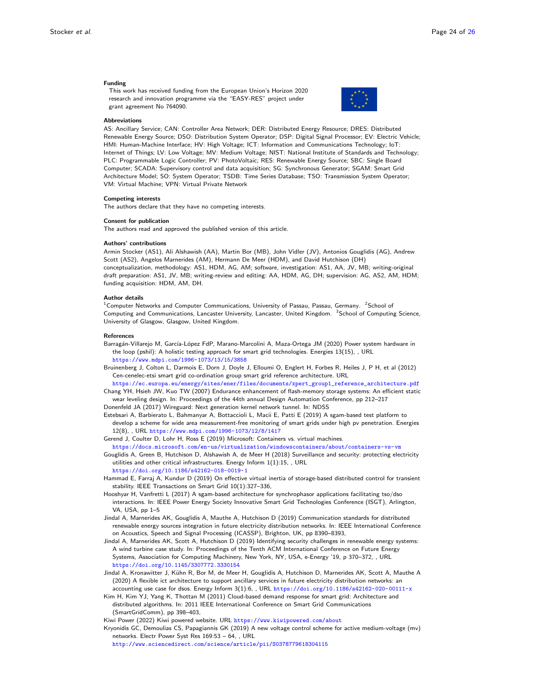#### Funding

This work has received funding from the European Union's Horizon 2020 research and innovation programme via the "EASY-RES" project under grant agreement No 764090.

<span id="page-23-2"></span><span id="page-23-1"></span>

#### Abbreviations

AS: Ancillary Service; CAN: Controller Area Network; DER: Distributed Energy Resource; DRES: Distributed Renewable Energy Source; DSO: Distribution System Operator; DSP: Digital Signal Processor; EV: Electric Vehicle; HMI: Human-Machine Interface; HV: High Voltage; ICT: Information and Communications Technology; IoT: Internet of Things; LV: Low Voltage; MV: Medium Voltage; NIST: National Institute of Standards and Technology; PLC: Programmable Logic Controller; PV: PhotoVoltaic; RES: Renewable Energy Source; SBC: Single Board Computer; SCADA: Supervisory control and data acquisition; SG: Synchronous Generator; SGAM: Smart Grid Architecture Model; SO: System Operator; TSDB: Time Series Database; TSO: Transmission System Operator; VM: Virtual Machine; VPN: Virtual Private Network

#### Competing interests

The authors declare that they have no competing interests.

#### Consent for publication

The authors read and approved the published version of this article.

#### Authors' contributions

Armin Stocker (AS1), Ali Alshawish (AA), Martin Bor (MB), John Vidler (JV), Antonios Gouglidis (AG), Andrew Scott (AS2), Angelos Marnerides (AM), Hermann De Meer (HDM), and David Hutchison (DH) conceptualization, methodology: AS1, HDM, AG, AM; software, investigation: AS1, AA, JV, MB; writing-original draft preparation: AS1, JV, MB; writing-review and editing: AA, HDM, AG, DH; supervision: AG, AS2, AM, HDM; funding acquisition: HDM, AM, DH.

#### Author details

<span id="page-23-0"></span> $^1$ Computer Networks and Computer Communications, University of Passau, Passau, Germany.  $\,{}^2$ School of Computing and Communications, Lancaster University, Lancaster, United Kingdom. <sup>3</sup>School of Computing Science, University of Glasgow, Glasgow, United Kingdom.

#### References

- <span id="page-23-14"></span>Barragán-Villarejo M, García-López FdP, Marano-Marcolini A, Maza-Ortega JM (2020) Power system hardware in the loop (pshil): A holistic testing approach for smart grid technologies. Energies 13(15), , URL <https://www.mdpi.com/1996-1073/13/15/3858>
- <span id="page-23-12"></span>Bruinenberg J, Colton L, Darmois E, Dorn J, Doyle J, Elloumi O, Englert H, Forbes R, Heiles J, P H, et al (2012) Cen-cenelec-etsi smart grid co-ordination group smart grid reference architecture. URL

<span id="page-23-17"></span>[https://ec.europa.eu/energy/sites/ener/files/documents/xpert\\_group1\\_reference\\_architecture.pdf](https://ec.europa.eu/energy/sites/ener/files/documents/xpert_group1_reference_architecture.pdf) Chang YH, Hsieh JW, Kuo TW (2007) Endurance enhancement of flash-memory storage systems: An efficient static wear leveling design. In: Proceedings of the 44th annual Design Automation Conference, pp 212–217

<span id="page-23-16"></span>Donenfeld JA (2017) Wireguard: Next generation kernel network tunnel. In: NDSS

<span id="page-23-11"></span>Estebsari A, Barbierato L, Bahmanyar A, Bottaccioli L, Macii E, Patti E (2019) A sgam-based test platform to develop a scheme for wide area measurement-free monitoring of smart grids under high pv penetration. Energies 12(8), , URL <https://www.mdpi.com/1996-1073/12/8/1417>

<span id="page-23-15"></span>Gerend J, Coulter D, Lohr H, Ross E (2019) Microsoft: Containers vs. virtual machines.

<https://docs.microsoft.com/en-us/virtualization/windowscontainers/about/containers-vs-vm>

<span id="page-23-5"></span>Gouglidis A, Green B, Hutchison D, Alshawish A, de Meer H (2018) Surveillance and security: protecting electricity utilities and other critical infrastructures. Energy Inform 1(1):15, , URL

<https://doi.org/10.1186/s42162-018-0019-1>

- <span id="page-23-9"></span>Hammad E, Farraj A, Kundur D (2019) On effective virtual inertia of storage-based distributed control for transient stability. IEEE Transactions on Smart Grid 10(1):327–336,
- <span id="page-23-10"></span>Hooshyar H, Vanfretti L (2017) A sgam-based architecture for synchrophasor applications facilitating tso/dso interactions. In: IEEE Power Energy Society Innovative Smart Grid Technologies Conference (ISGT), Arlington, VA, USA, pp 1–5
- <span id="page-23-4"></span>Jindal A, Marnerides AK, Gouglidis A, Mauthe A, Hutchison D (2019) Communication standards for distributed renewable energy sources integration in future electricity distribution networks. In: IEEE International Conference on Acoustics, Speech and Signal Processing (ICASSP), Brighton, UK, pp 8390–8393,
- <span id="page-23-6"></span>Jindal A, Marnerides AK, Scott A, Hutchison D (2019) Identifying security challenges in renewable energy systems: A wind turbine case study. In: Proceedings of the Tenth ACM International Conference on Future Energy Systems, Association for Computing Machinery, New York, NY, USA, e-Energy '19, p 370–372, , URL <https://doi.org/10.1145/3307772.3330154>
- <span id="page-23-3"></span>Jindal A, Kronawitter J, Kühn R, Bor M, de Meer H, Gouglidis A, Hutchison D, Marnerides AK, Scott A, Mauthe A (2020) A flexible ict architecture to support ancillary services in future electricity distribution networks: an accounting use case for dsos. Energy Inform 3(1):6, , URL <https://doi.org/10.1186/s42162-020-00111-x>
- <span id="page-23-8"></span>Kim H, Kim YJ, Yang K, Thottan M (2011) Cloud-based demand response for smart grid: Architecture and distributed algorithms. In: 2011 IEEE International Conference on Smart Grid Communications (SmartGridComm), pp 398–403,
- <span id="page-23-13"></span>Kiwi Power (2022) Kiwi powered website. URL <https://www.kiwipowered.com/about>
- <span id="page-23-7"></span>Kryonidis GC, Demoulias CS, Papagiannis GK (2019) A new voltage control scheme for active medium-voltage (mv) networks. Electr Power Syst Res 169:53 – 64, , URL
	- <http://www.sciencedirect.com/science/article/pii/S0378779618304115>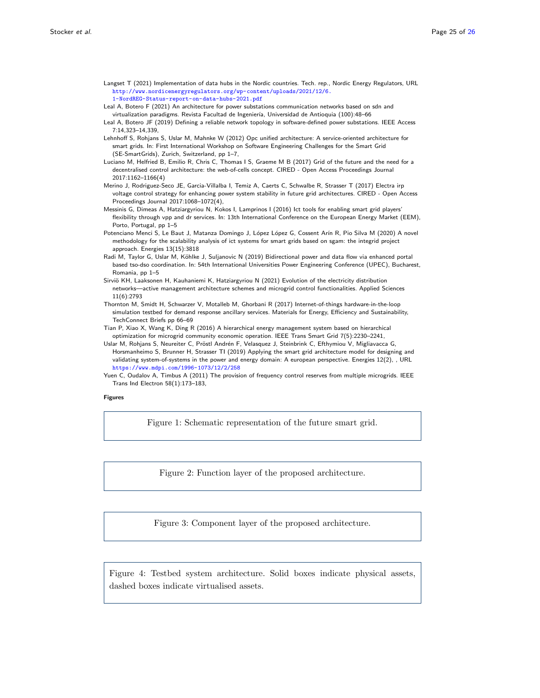- <span id="page-24-12"></span>Langset T (2021) Implementation of data hubs in the Nordic countries. Tech. rep., Nordic Energy Regulators, URL [http://www.nordicenergyregulators.org/wp-content/uploads/2021/12/6.](http://www.nordicenergyregulators.org/wp-content/uploads/2021/12/6.1-NordREG-Status-report-on-data-hubs-2021.pdf) [1-NordREG-Status-report-on-data-hubs-2021.pdf](http://www.nordicenergyregulators.org/wp-content/uploads/2021/12/6.1-NordREG-Status-report-on-data-hubs-2021.pdf)
- <span id="page-24-7"></span>Leal A, Botero F (2021) An architecture for power substations communication networks based on sdn and virtualization paradigms. Revista Facultad de Ingeniería, Universidad de Antioquia (100):48-66
- <span id="page-24-8"></span>Leal A, Botero JF (2019) Defining a reliable network topology in software-defined power substations. IEEE Access 7:14,323–14,339,
- <span id="page-24-15"></span>Lehnhoff S, Rohjans S, Uslar M, Mahnke W (2012) Opc unified architecture: A service-oriented architecture for smart grids. In: First International Workshop on Software Engineering Challenges for the Smart Grid (SE-SmartGrids), Zurich, Switzerland, pp 1–7,
- <span id="page-24-4"></span>Luciano M, Helfried B, Emilio R, Chris C, Thomas I S, Graeme M B (2017) Grid of the future and the need for a decentralised control architecture: the web-of-cells concept. CIRED - Open Access Proceedings Journal 2017:1162–1166(4)
- <span id="page-24-5"></span>Merino J, Rodriguez-Seco JE, Garcia-Villalba I, Temiz A, Caerts C, Schwalbe R, Strasser T (2017) Electra irp voltage control strategy for enhancing power system stability in future grid architectures. CIRED - Open Access Proceedings Journal 2017:1068–1072(4),
- <span id="page-24-2"></span>Messinis G, Dimeas A, Hatziargyriou N, Kokos I, Lamprinos I (2016) Ict tools for enabling smart grid players' flexibility through vpp and dr services. In: 13th International Conference on the European Energy Market (EEM), Porto, Portugal, pp 1–5
- <span id="page-24-10"></span>Potenciano Menci S, Le Baut J, Matanza Domingo J, López López G, Cossent Arín R, Pio Silva M (2020) A novel methodology for the scalability analysis of ict systems for smart grids based on sgam: the integrid project approach. Energies 13(15):3818
- <span id="page-24-3"></span>Radi M, Taylor G, Uslar M, Köhlke J, Suljanovic N (2019) Bidirectional power and data flow via enhanced portal based tso-dso coordination. In: 54th International Universities Power Engineering Conference (UPEC), Bucharest, Romania, pp 1–5
- <span id="page-24-9"></span>Sirviö KH, Laaksonen H, Kauhaniemi K, Hatziargyriou N (2021) Evolution of the electricity distribution networks—active management architecture schemes and microgrid control functionalities. Applied Sciences 11(6):2793
- <span id="page-24-11"></span>Thornton M, Smidt H, Schwarzer V, Motalleb M, Ghorbani R (2017) Internet-of-things hardware-in-the-loop simulation testbed for demand response ancillary services. Materials for Energy, Efficiency and Sustainability, TechConnect Briefs pp 66–69
- <span id="page-24-6"></span>Tian P, Xiao X, Wang K, Ding R (2016) A hierarchical energy management system based on hierarchical optimization for microgrid community economic operation. IEEE Trans Smart Grid 7(5):2230–2241,
- <span id="page-24-17"></span>Uslar M, Rohjans S, Neureiter C, Pröstl Andrén F, Velasquez J, Steinbrink C, Efthymiou V, Migliavacca G, Horsmanheimo S, Brunner H, Strasser TI (2019) Applying the smart grid architecture model for designing and validating system-of-systems in the power and energy domain: A european perspective. Energies 12(2), , URL <https://www.mdpi.com/1996-1073/12/2/258>
- <span id="page-24-1"></span>Yuen C, Oudalov A, Timbus A (2011) The provision of frequency control reserves from multiple microgrids. IEEE Trans Ind Electron 58(1):173–183,

#### Figures

<span id="page-24-0"></span>Figure 1: Schematic representation of the future smart grid.

<span id="page-24-13"></span>Figure 2: Function layer of the proposed architecture.

<span id="page-24-14"></span>Figure 3: Component layer of the proposed architecture.

<span id="page-24-16"></span>Figure 4: Testbed system architecture. Solid boxes indicate physical assets, dashed boxes indicate virtualised assets.